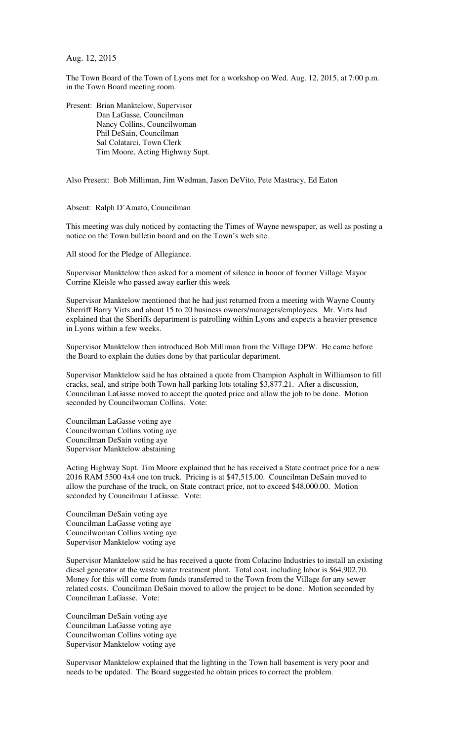Aug. 12, 2015

The Town Board of the Town of Lyons met for a workshop on Wed. Aug. 12, 2015, at 7:00 p.m. in the Town Board meeting room.

Present: Brian Manktelow, Supervisor Dan LaGasse, Councilman Nancy Collins, Councilwoman Phil DeSain, Councilman Sal Colatarci, Town Clerk Tim Moore, Acting Highway Supt.

Also Present: Bob Milliman, Jim Wedman, Jason DeVito, Pete Mastracy, Ed Eaton

Absent: Ralph D'Amato, Councilman

This meeting was duly noticed by contacting the Times of Wayne newspaper, as well as posting a notice on the Town bulletin board and on the Town's web site.

All stood for the Pledge of Allegiance.

Supervisor Manktelow then asked for a moment of silence in honor of former Village Mayor Corrine Kleisle who passed away earlier this week

Supervisor Manktelow mentioned that he had just returned from a meeting with Wayne County Sherriff Barry Virts and about 15 to 20 business owners/managers/employees. Mr. Virts had explained that the Sheriffs department is patrolling within Lyons and expects a heavier presence in Lyons within a few weeks.

Supervisor Manktelow then introduced Bob Milliman from the Village DPW. He came before the Board to explain the duties done by that particular department.

Supervisor Manktelow said he has obtained a quote from Champion Asphalt in Williamson to fill cracks, seal, and stripe both Town hall parking lots totaling \$3,877.21. After a discussion, Councilman LaGasse moved to accept the quoted price and allow the job to be done. Motion seconded by Councilwoman Collins. Vote:

Councilman LaGasse voting aye Councilwoman Collins voting aye Councilman DeSain voting aye Supervisor Manktelow abstaining

Acting Highway Supt. Tim Moore explained that he has received a State contract price for a new 2016 RAM 5500 4x4 one ton truck. Pricing is at \$47,515.00. Councilman DeSain moved to allow the purchase of the truck, on State contract price, not to exceed \$48,000.00. Motion seconded by Councilman LaGasse. Vote:

Councilman DeSain voting aye Councilman LaGasse voting aye Councilwoman Collins voting aye Supervisor Manktelow voting aye

Supervisor Manktelow said he has received a quote from Colacino Industries to install an existing diesel generator at the waste water treatment plant. Total cost, including labor is \$64,902.70. Money for this will come from funds transferred to the Town from the Village for any sewer related costs. Councilman DeSain moved to allow the project to be done. Motion seconded by Councilman LaGasse. Vote:

Councilman DeSain voting aye Councilman LaGasse voting aye Councilwoman Collins voting aye Supervisor Manktelow voting aye

Supervisor Manktelow explained that the lighting in the Town hall basement is very poor and needs to be updated. The Board suggested he obtain prices to correct the problem.